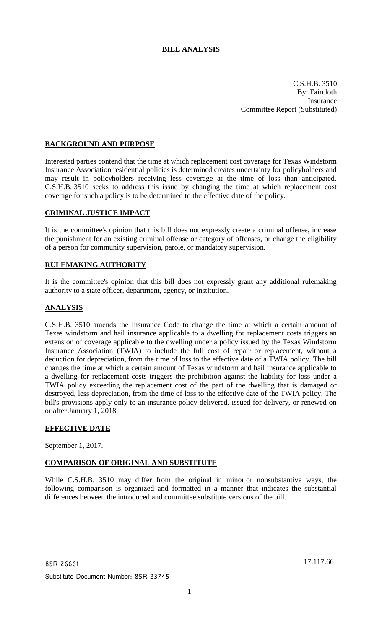# **BILL ANALYSIS**

C.S.H.B. 3510 By: Faircloth Insurance Committee Report (Substituted)

# **BACKGROUND AND PURPOSE**

Interested parties contend that the time at which replacement cost coverage for Texas Windstorm Insurance Association residential policies is determined creates uncertainty for policyholders and may result in policyholders receiving less coverage at the time of loss than anticipated. C.S.H.B. 3510 seeks to address this issue by changing the time at which replacement cost coverage for such a policy is to be determined to the effective date of the policy.

## **CRIMINAL JUSTICE IMPACT**

It is the committee's opinion that this bill does not expressly create a criminal offense, increase the punishment for an existing criminal offense or category of offenses, or change the eligibility of a person for community supervision, parole, or mandatory supervision.

#### **RULEMAKING AUTHORITY**

It is the committee's opinion that this bill does not expressly grant any additional rulemaking authority to a state officer, department, agency, or institution.

### **ANALYSIS**

C.S.H.B. 3510 amends the Insurance Code to change the time at which a certain amount of Texas windstorm and hail insurance applicable to a dwelling for replacement costs triggers an extension of coverage applicable to the dwelling under a policy issued by the Texas Windstorm Insurance Association (TWIA) to include the full cost of repair or replacement, without a deduction for depreciation, from the time of loss to the effective date of a TWIA policy. The bill changes the time at which a certain amount of Texas windstorm and hail insurance applicable to a dwelling for replacement costs triggers the prohibition against the liability for loss under a TWIA policy exceeding the replacement cost of the part of the dwelling that is damaged or destroyed, less depreciation, from the time of loss to the effective date of the TWIA policy. The bill's provisions apply only to an insurance policy delivered, issued for delivery, or renewed on or after January 1, 2018.

### **EFFECTIVE DATE**

September 1, 2017.

### **COMPARISON OF ORIGINAL AND SUBSTITUTE**

While C.S.H.B. 3510 may differ from the original in minor or nonsubstantive ways, the following comparison is organized and formatted in a manner that indicates the substantial differences between the introduced and committee substitute versions of the bill.